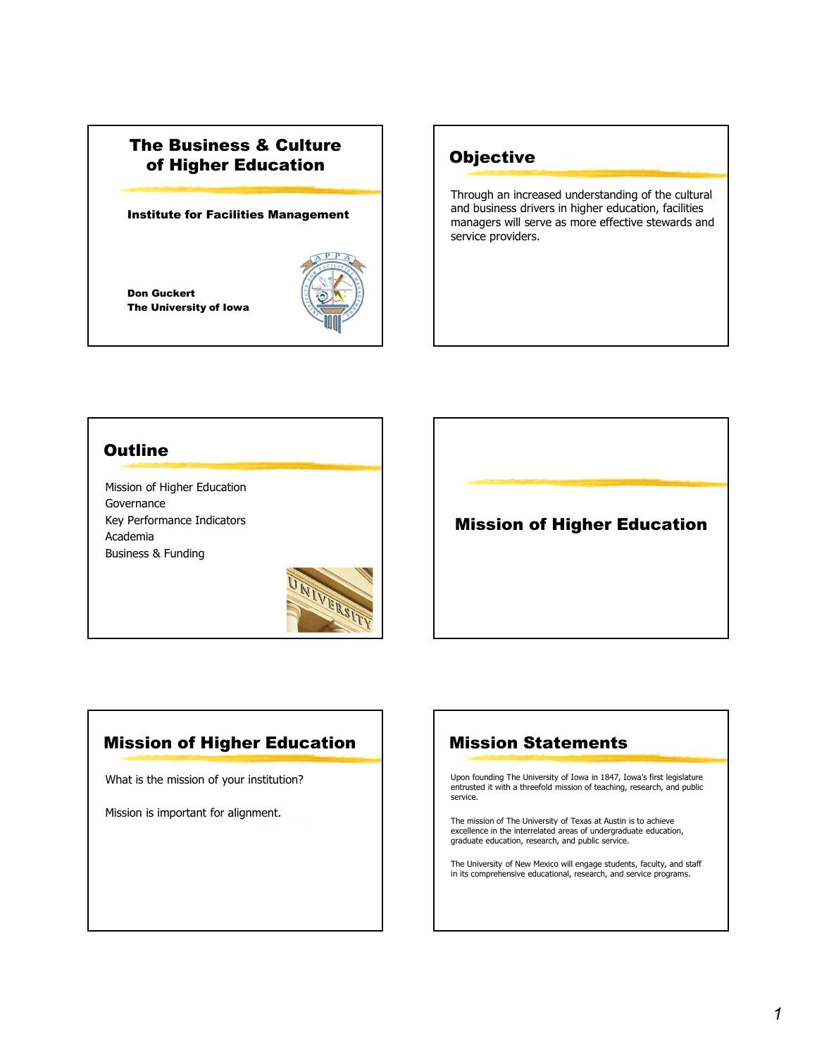# The Business & Culture of Higher Education

#### Institute for Facilities Management

Don Guckert The University of Iowa



### **Objective**

Through an increased understanding of the cultural and business drivers in higher education, facilities managers will serve as more effective stewards and service providers.

#### **Outline**

Mission of Higher Education Governance Key Performance Indicators Academia Business & Funding



# Mission of Higher Education

# Mission of Higher Education

What is the mission of your institution?

Mission is important for alignment.

# Mission Statements

Upon founding The University of Iowa in 1847, Iowa's first legislature entrusted it with a threefold mission of teaching, research, and public service.

The mission of The University of Texas at Austin is to achieve excellence in the interrelated areas of undergraduate education, graduate education, research, and public service.

The University of New Mexico will engage students, faculty, and staff in its comprehensive educational, research, and service programs.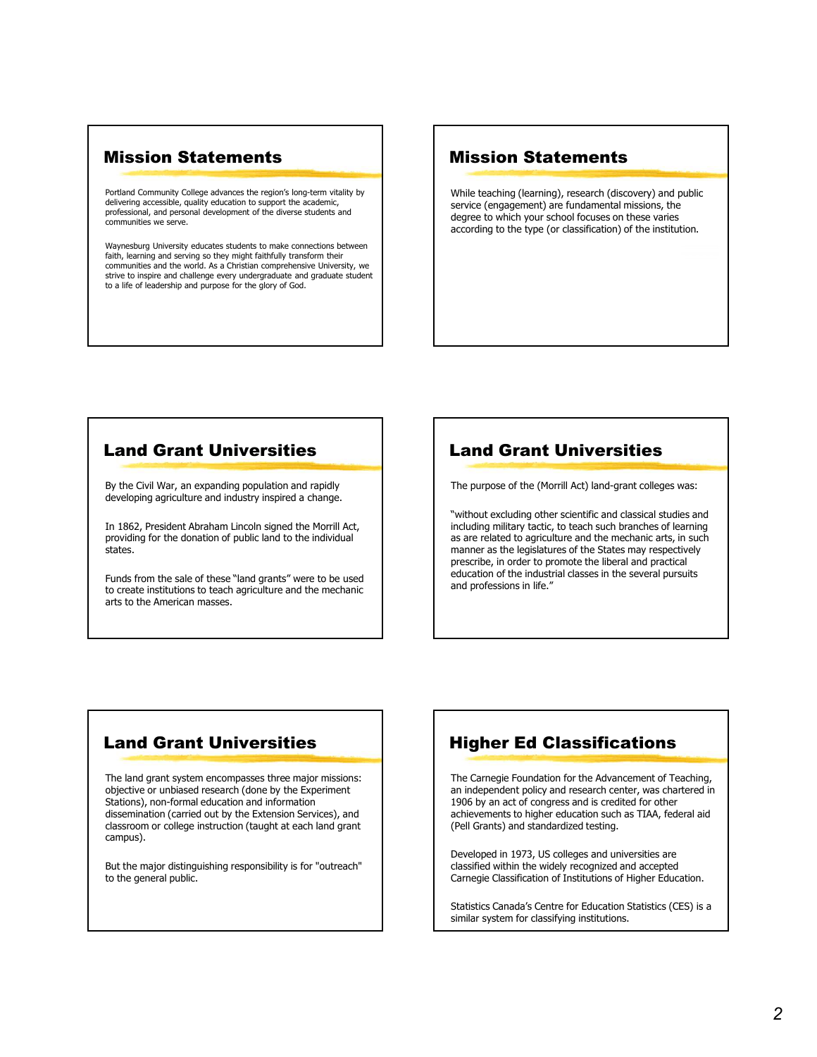#### Mission Statements

Portland Community College advances the region's long-term vitality by delivering accessible, quality education to support the academic, professional, and personal development of the diverse students and communities we serve.

Waynesburg University educates students to make connections between faith, learning and serving so they might faithfully transform their communities and the world. As a Christian comprehensive University, we strive to inspire and challenge every undergraduate and graduate student to a life of leadership and purpose for the glory of God.

#### Mission Statements

While teaching (learning), research (discovery) and public service (engagement) are fundamental missions, the degree to which your school focuses on these varies according to the type (or classification) of the institution.

#### Land Grant Universities

By the Civil War, an expanding population and rapidly developing agriculture and industry inspired a change.

In 1862, President Abraham Lincoln signed the Morrill Act, providing for the donation of public land to the individual states.

Funds from the sale of these "land grants" were to be used to create institutions to teach agriculture and the mechanic arts to the American masses.

### Land Grant Universities

The purpose of the (Morrill Act) land-grant colleges was:

"without excluding other scientific and classical studies and including military tactic, to teach such branches of learning as are related to agriculture and the mechanic arts, in such manner as the legislatures of the States may respectively prescribe, in order to promote the liberal and practical education of the industrial classes in the several pursuits and professions in life."

# Land Grant Universities

The land grant system encompasses three major missions: objective or unbiased research (done by the Experiment Stations), non-formal education and information dissemination (carried out by the Extension Services), and classroom or college instruction (taught at each land grant campus).

But the major distinguishing responsibility is for "outreach" to the general public.

# Higher Ed Classifications

The Carnegie Foundation for the Advancement of Teaching, an independent policy and research center, was chartered in 1906 by an act of congress and is credited for other achievements to higher education such as TIAA, federal aid (Pell Grants) and standardized testing.

Developed in 1973, US colleges and universities are classified within the widely recognized and accepted Carnegie Classification of Institutions of Higher Education.

Statistics Canada's Centre for Education Statistics (CES) is a similar system for classifying institutions.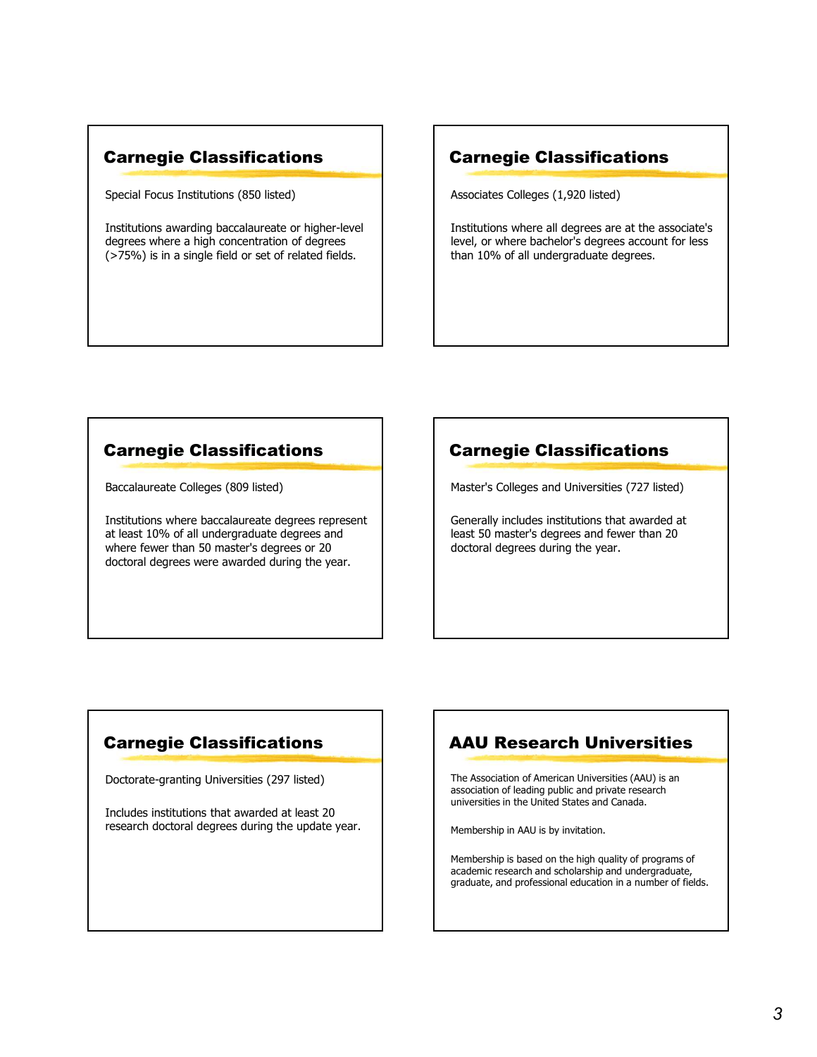# Carnegie Classifications

Special Focus Institutions (850 listed)

Institutions awarding baccalaureate or higher-level degrees where a high concentration of degrees (>75%) is in a single field or set of related fields.

#### Carnegie Classifications

Associates Colleges (1,920 listed)

Institutions where all degrees are at the associate's level, or where bachelor's degrees account for less than 10% of all undergraduate degrees.

# Carnegie Classifications

Baccalaureate Colleges (809 listed)

Institutions where baccalaureate degrees represent at least 10% of all undergraduate degrees and where fewer than 50 master's degrees or 20 doctoral degrees were awarded during the year.

# Carnegie Classifications

Master's Colleges and Universities (727 listed)

Generally includes institutions that awarded at least 50 master's degrees and fewer than 20 doctoral degrees during the year.

# Carnegie Classifications

Doctorate-granting Universities (297 listed)

Includes institutions that awarded at least 20 research doctoral degrees during the update year.

# AAU Research Universities

The Association of American Universities (AAU) is an association of leading public and private research universities in the United States and Canada.

Membership in AAU is by invitation.

Membership is based on the high quality of programs of academic research and scholarship and undergraduate, graduate, and professional education in a number of fields.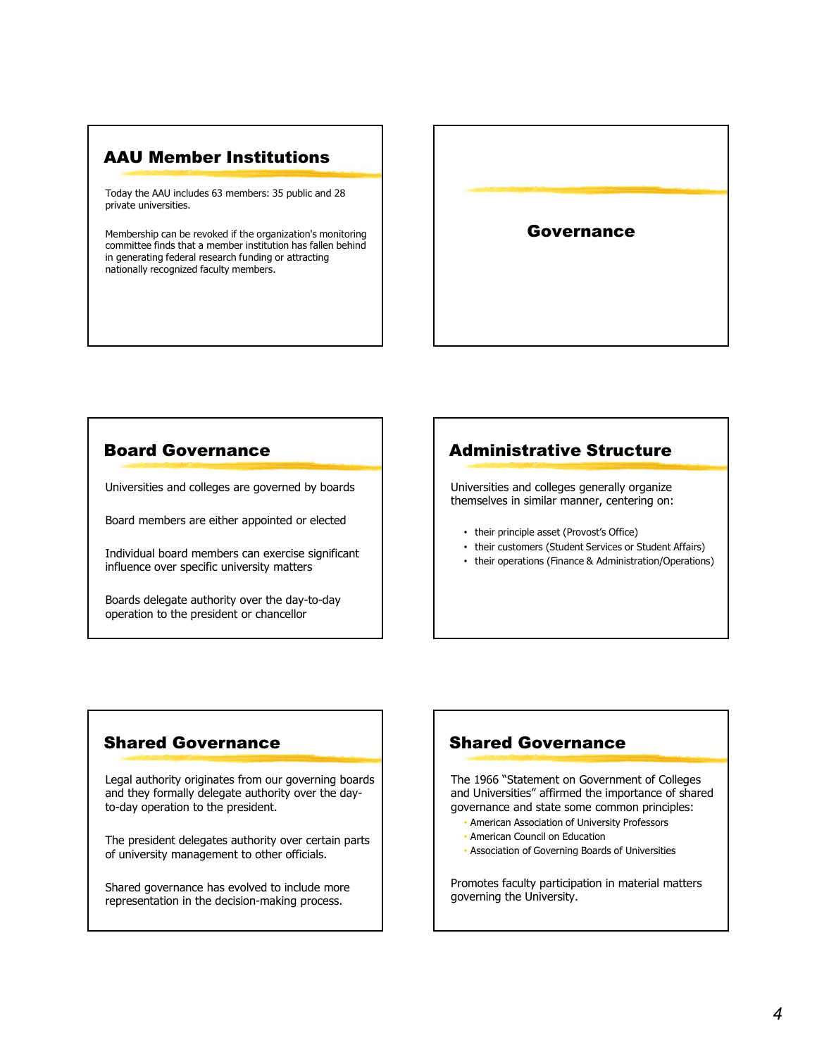### AAU Member Institutions

Today the AAU includes 63 members: 35 public and 28 private universities.

Membership can be revoked if the organization's monitoring committee finds that a member institution has fallen behind in generating federal research funding or attracting nationally recognized faculty members.



#### Board Governance

Universities and colleges are governed by boards

Board members are either appointed or elected<br>
• their principle asset (Provost's Office)

Individual board members can exercise significant influence over specific university matters

Boards delegate authority over the day-to-day operation to the president or chancellor

# Administrative Structure

Universities and colleges generally organize themselves in similar manner, centering on:

- 
- their customers (Student Services or Student Affairs)
- their operations (Finance & Administration/Operations)

#### Shared Governance

**Board Governance**<br>
Universities and colleges are governed by boards<br>
Board members are either appointed or elected<br>
Individual board members can exercise significant<br>
Influence over specific university matters<br>
Boards del and they formally delegate authority over the day-Universities and colleges are governance<br>
Board members are either appointed or elected<br>
Influence over specific university matters<br>
Influence over specific university matters<br>
Spared Governance<br>
Spared Governance<br>
Legal a

The president delegates authority over certain parts of university management to other officials.

Shared governance has evolved to include more representation in the decision-making process.

# Shared Governance

The 1966 "Statement on Government of Colleges and Universities" affirmed the importance of shared governance and state some common principles:

- American Association of University Professors
- American Council on Education
- Association of Governing Boards of Universities

Promotes faculty participation in material matters governing the University.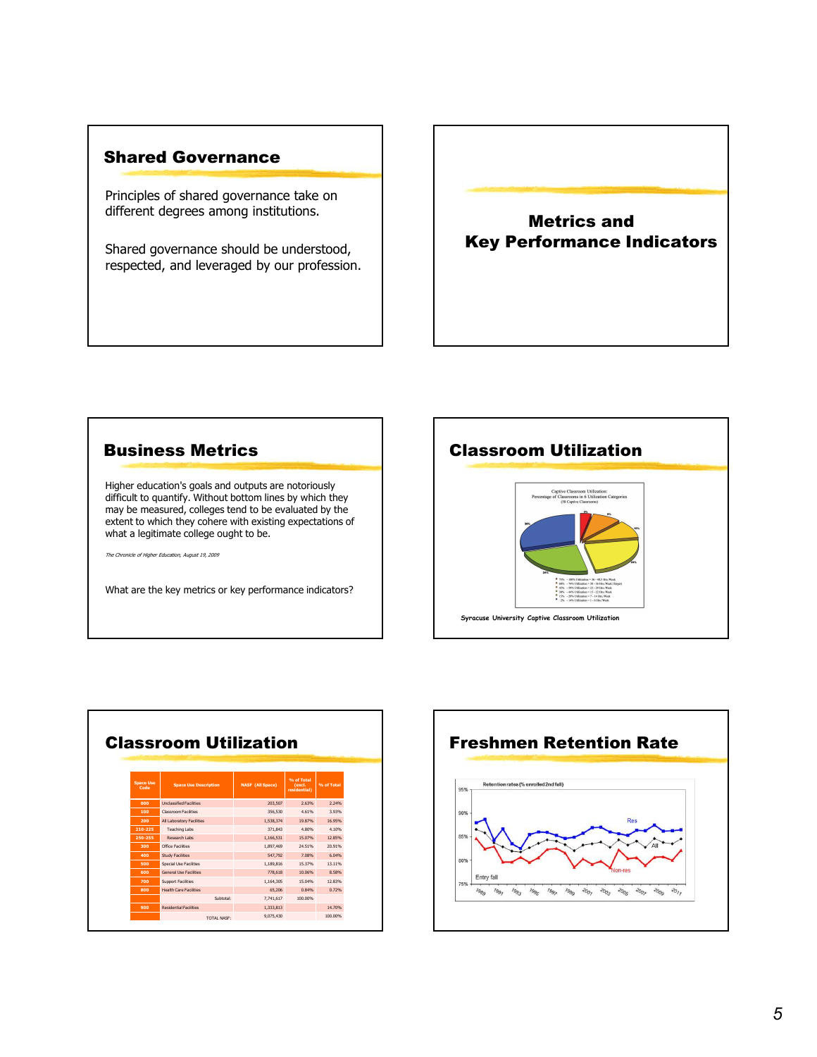#### Shared Governance

Principles of shared governance take on different degrees among institutions.

Shared governance should be understood, respected, and leveraged by our profession.

Metrics and Key Performance Indicators



|                          | <b>Classroom Utilization</b>  |                         |                                      |            | <b>Freshmen Retention Rate</b>               |
|--------------------------|-------------------------------|-------------------------|--------------------------------------|------------|----------------------------------------------|
| <b>Space Use</b><br>Code | <b>Space Use Description</b>  | <b>NASF</b> (All Space) | % of Total<br>(excl.<br>residential) | % of Total | Retention rates (% enrolled 2nd fall)<br>95% |
| 000                      | <b>Undassified Facilities</b> | 203,507                 | 2.63%                                | 2.24%      |                                              |
| 100                      | Classroom Facilities          | 356.530                 | 4.61%                                | 3.93%      | 90%                                          |
| 200                      | All Laboratory Facilities     | 1.538.374               | 19.87%                               | 16.95%     | <b>Res</b>                                   |
| 210-225                  | <b>Teaching Labs</b>          | 371.843                 | 4.80%                                | 4.10%      |                                              |
| 250-255                  | Research Labs                 | 1.166.531               | 15.07%                               | 12.85%     | 85%                                          |
| 300                      | Office Facilities             | 1.897.469               | 24.51%                               | 20.91%     |                                              |
| 400                      | Study Facilities              | 547.792                 | 7,08%                                | 6.04%      | 80%                                          |
| 500                      | Special Use Facilities        | 1.189.816               | 15.37%                               | 13.11%     |                                              |
| 600                      | <b>General Use Facilities</b> | 778,618                 | 10.06%                               | 8,58%      | Entry fall                                   |
| 700                      | Support Facilities            | 1.164.305               | 15.04%                               | 12.83%     | 75%                                          |
| 800                      | <b>Health Care Facilities</b> | 65.206                  | 0.84%                                | 0.72%      |                                              |
|                          | Subtotal:                     | 7.741.617               | 100,00%                              |            |                                              |
| 900                      | <b>Residential Facilities</b> | 1.333.813               |                                      | 14.70%     |                                              |
|                          | <b>TOTAL NASF:</b>            | 9.075.430               |                                      | 100.00%    |                                              |

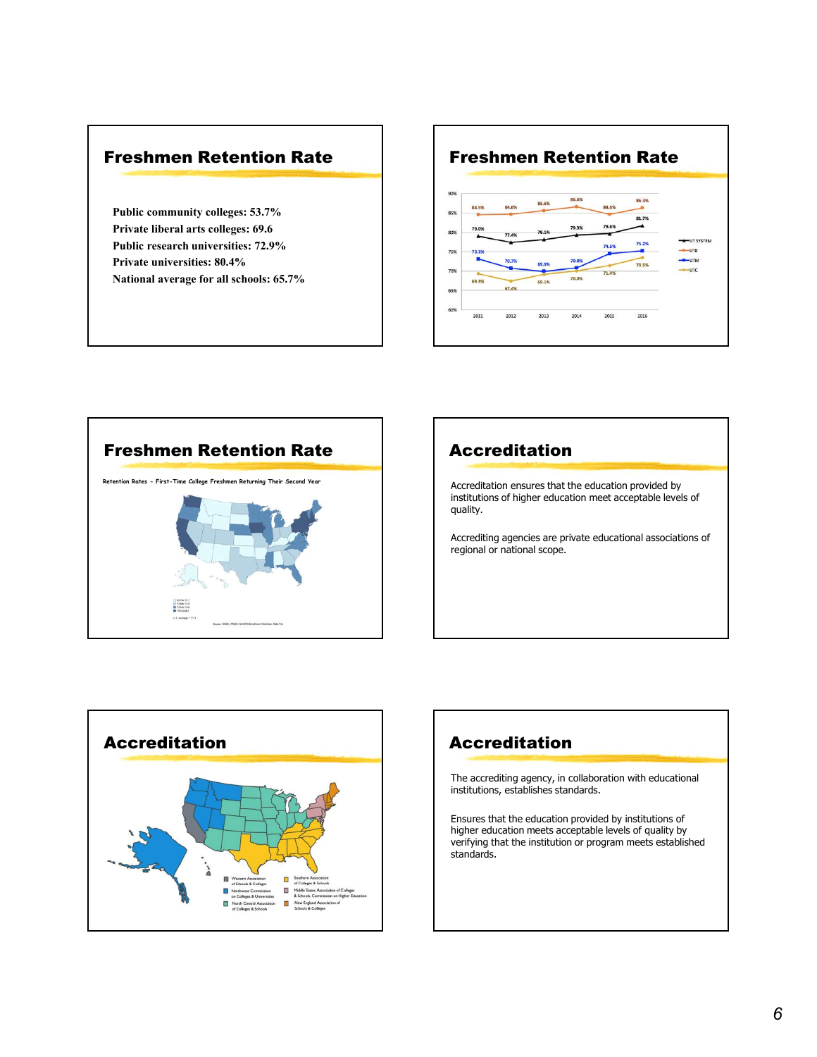#### Freshmen Retention Rate

Private liberal arts colleges: 69.6











The accrediting agency, in collaboration with educational institutions, establishes standards.

Ensures that the education provided by institutions of higher education meets acceptable levels of quality by verifying that the institution or program meets established standards.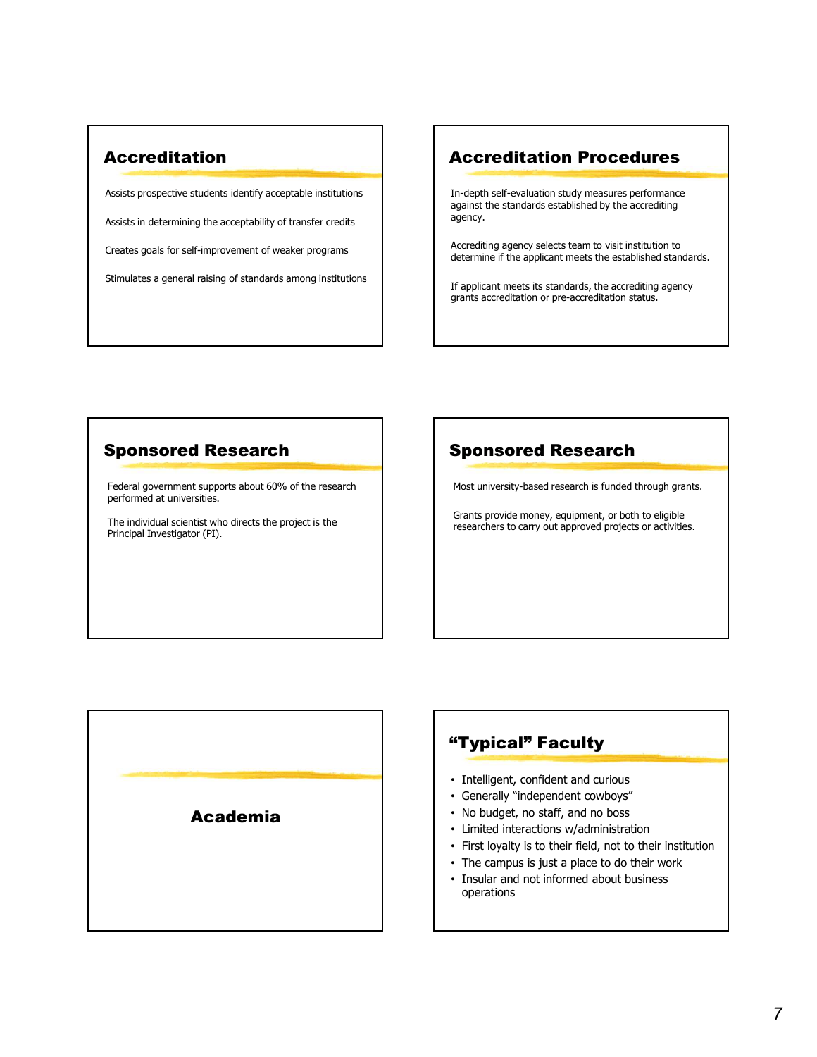### Accreditation

Assists prospective students identify acceptable institutions Assists in determining the acceptability of transfer credits Creates goals for self-improvement of weaker programs Stimulates a general raising of standards among institutions

### Accreditation Procedures

In-depth self-evaluation study measures performance against the standards established by the accrediting agency.

Accrediting agency selects team to visit institution to determine if the applicant meets the established standards.

If applicant meets its standards, the accrediting agency grants accreditation or pre-accreditation status.

### Sponsored Research

Federal government supports about 60% of the research performed at universities.

The individual scientist who directs the project is the Principal Investigator (PI).

# Sponsored Research

Most university-based research is funded through grants.

Grants provide money, equipment, or both to eligible researchers to carry out approved projects or activities.



# "Typical" Faculty

- Intelligent, confident and curious
- Generally "independent cowboys"
- No budget, no staff, and no boss
- Limited interactions w/administration
- First loyalty is to their field, not to their institution
- The campus is just a place to do their work
- Insular and not informed about business operations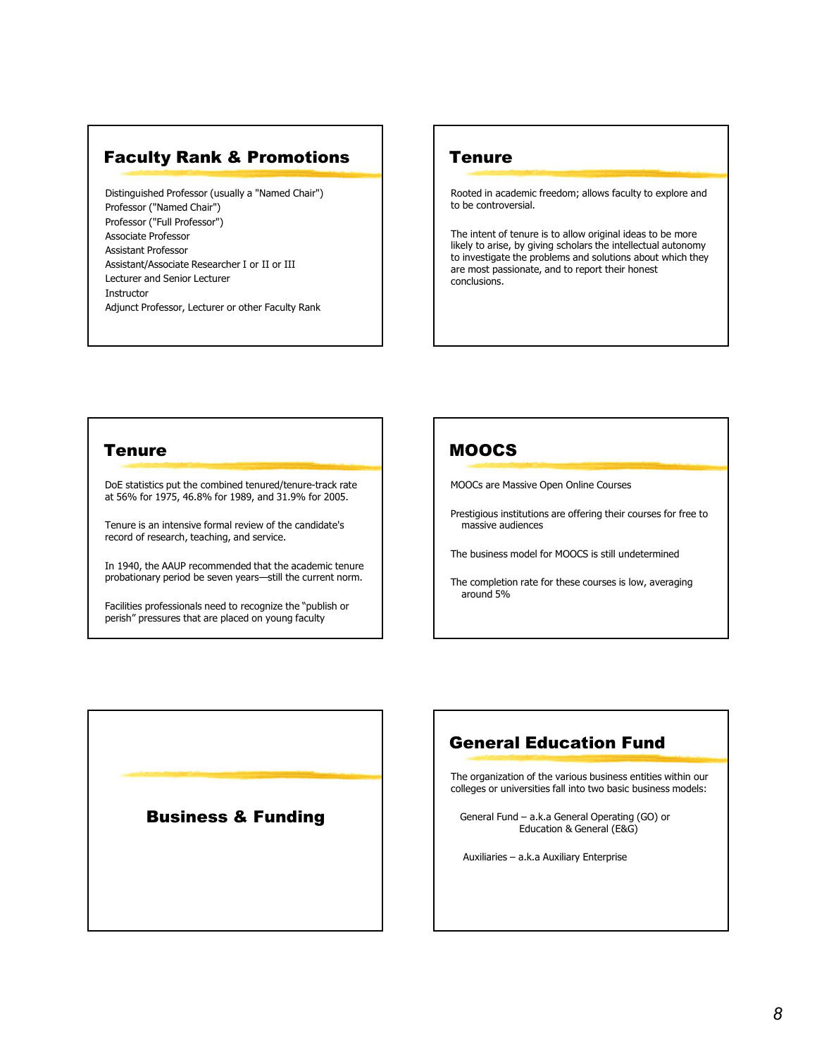### Faculty Rank & Promotions

Distinguished Professor (usually a "Named Chair") Professor ("Named Chair") Professor ("Full Professor") Associate Professor Assistant Professor Assistant/Associate Researcher I or II or III Lecturer and Senior Lecturer Instructor Adjunct Professor, Lecturer or other Faculty Rank

#### **Tenure**

Rooted in academic freedom; allows faculty to explore and to be controversial.

The intent of tenure is to allow original ideas to be more likely to arise, by giving scholars the intellectual autonomy to investigate the problems and solutions about which they are most passionate, and to report their honest conclusions.

#### **Tenure**

DoE statistics put the combined tenured/tenure-track rate at 56% for 1975, 46.8% for 1989, and 31.9% for 2005.

Tenure is an intensive formal review of the candidate's record of research, teaching, and service.

In 1940, the AAUP recommended that the academic tenure probationary period be seven years—still the current norm.

Facilities professionals need to recognize the "publish or perish" pressures that are placed on young faculty

# MOOCS

MOOCs are Massive Open Online Courses

Prestigious institutions are offering their courses for free to massive audiences COCS are Massive Open Online Courses<br>
estigious institutions are offering their courses for free to<br>
massive audiences<br>
e business model for MOOCS is still undetermined<br>
ee completion rate for these courses is low, averagi stigious institutions are offering their courses for free to<br>massive audiences<br>business model for MOOCS is still undetermined<br>acompletion rate for these courses is low, averaging<br>round 5%<br>**eneral Education Fund**<br>expansizat

The business model for MOOCS is still undetermined

The completion rate for these courses is low, averaging around 5%

# General Education Fund

The organization of the various business entities within our colleges or universities fall into two basic business models:

**Business & Funding**  $\left\{ \right. \right\}$  General Fund – a.k.a General Operating (GO) or Education & General (E&G)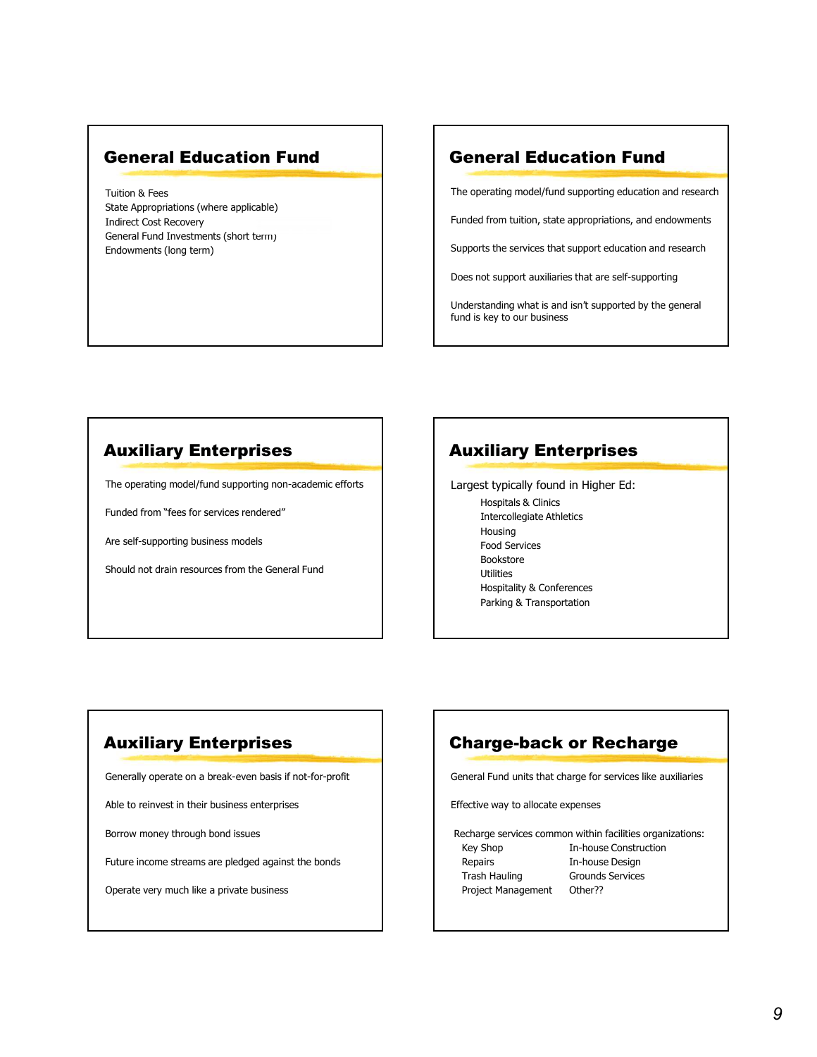#### General Education Fund

Tuition & Fees State Appropriations (where applicable) Indirect Cost Recovery General Fund Investments (short term) Endowments (long term)

### General Education Fund

The operating model/fund supporting education and research

Funded from tuition, state appropriations, and endowments

Supports the services that support education and research

Does not support auxiliaries that are self-supporting

Understanding what is and isn't supported by the general fund is key to our business

#### Auxiliary Enterprises

The operating model/fund supporting non-academic efforts

Funded from "fees for services rendered"

Are self-supporting business models

Should not drain resources from the General Fund

# Auxiliary Enterprises

Largest typically found in Higher Ed: Hospitals & Clinics Intercollegiate Athletics Housing Food Services Bookstore Utilities Hospitality & Conferences Parking & Transportation From the Construction<br>
Intercollegiate Athletics<br>
Hospitals & Clinics<br>
Food Services<br>
Bookstore<br>
Hospitality & Conferences<br>
Positive Wey As Transportation<br> **Party Construction**<br> **Rarge-back or Recharge<br>
Inneral Fund units** Thercollegiate Athletics<br>
Hercollegiate Athletics<br>
Housing<br>
Food Services<br>
Bookstore<br>
Utilities<br>
Hospitality & Conferences<br>
Parking & Transportation<br> **harge-back or Recharge**<br>
Repairs<br>
Here are a pair and units that charge Intercollering<br>
Housing<br>
Food Services<br>
Bookstore<br>
Utilities<br>
Hospitality & Conferences<br>
Parking & Transportation<br> **harge-back or Recharge**<br>
In-hause like auxiliaries<br>
Fective way to allocate expenses<br>
Echarge services com Food Services<br>
Bookstore<br>
Utilities<br>
Hospitality & Conferences<br>
Parking & Transportation<br>
Parking & Transportation<br>
Parking & Transportation<br>
Fictive way to allocate expenses<br>
Ective way to allocate expenses<br>
Ective way to

# Auxiliary Enterprises

Generally operate on a break-even basis if not-for-profit

Able to reinvest in their business enterprises

Borrow money through bond issues

Future income streams are pledged against the bonds **Future income streams** are pledged against the bonds

Operate very much like a private business and the state of the context of the project Management Other??

# Charge-back or Recharge

General Fund units that charge for services like auxiliaries

Effective way to allocate expenses

Recharge services common within facilities organizations: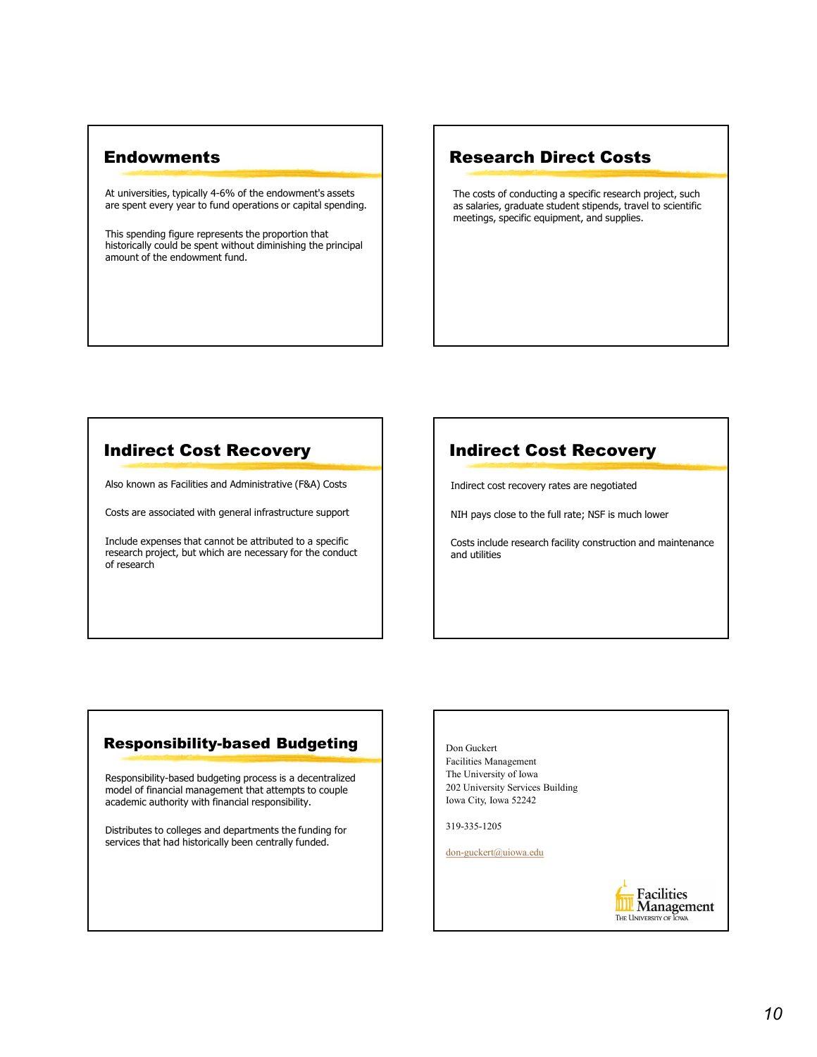#### **Endowments**

At universities, typically 4-6% of the endowment's assets are spent every year to fund operations or capital spending.

This spending figure represents the proportion that historically could be spent without diminishing the principal amount of the endowment fund.

### Research Direct Costs

The costs of conducting a specific research project, such as salaries, graduate student stipends, travel to scientific meetings, specific equipment, and supplies.

#### Indirect Cost Recovery

Also known as Facilities and Administrative (F&A) Costs

Costs are associated with general infrastructure support

Include expenses that cannot be attributed to a specific research project, but which are necessary for the conduct of research

# Indirect Cost Recovery

Indirect cost recovery rates are negotiated

NIH pays close to the full rate; NSF is much lower

Costs include research facility construction and maintenance and utilities

#### Responsibility-based Budgeting

Responsibility-based budgeting process is a decentralized model of financial management that attempts to couple academic authority with financial responsibility.

Distributes to colleges and departments the funding for services that had historically been centrally funded.

Don Guckert Facilities Management The University of Iowa 202 University Services Building Iowa City, Iowa 52242

319-335-1205

don-guckert@uiowa.edu